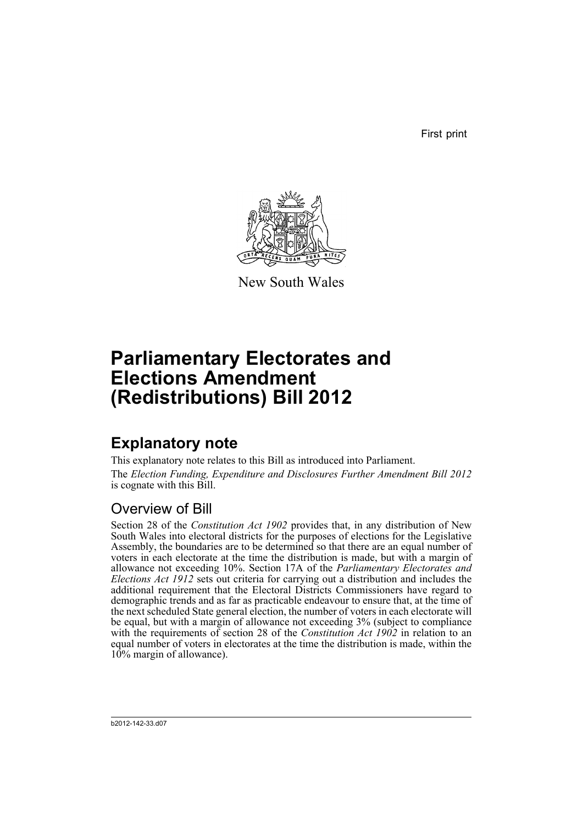First print



New South Wales

# **Parliamentary Electorates and Elections Amendment (Redistributions) Bill 2012**

## **Explanatory note**

This explanatory note relates to this Bill as introduced into Parliament. The *Election Funding, Expenditure and Disclosures Further Amendment Bill 2012* is cognate with this Bill.

#### Overview of Bill

Section 28 of the *Constitution Act 1902* provides that, in any distribution of New South Wales into electoral districts for the purposes of elections for the Legislative Assembly, the boundaries are to be determined so that there are an equal number of voters in each electorate at the time the distribution is made, but with a margin of allowance not exceeding 10%. Section 17A of the *Parliamentary Electorates and Elections Act 1912* sets out criteria for carrying out a distribution and includes the additional requirement that the Electoral Districts Commissioners have regard to demographic trends and as far as practicable endeavour to ensure that, at the time of the next scheduled State general election, the number of voters in each electorate will be equal, but with a margin of allowance not exceeding 3% (subject to compliance with the requirements of section 28 of the *Constitution Act 1902* in relation to an equal number of voters in electorates at the time the distribution is made, within the 10% margin of allowance).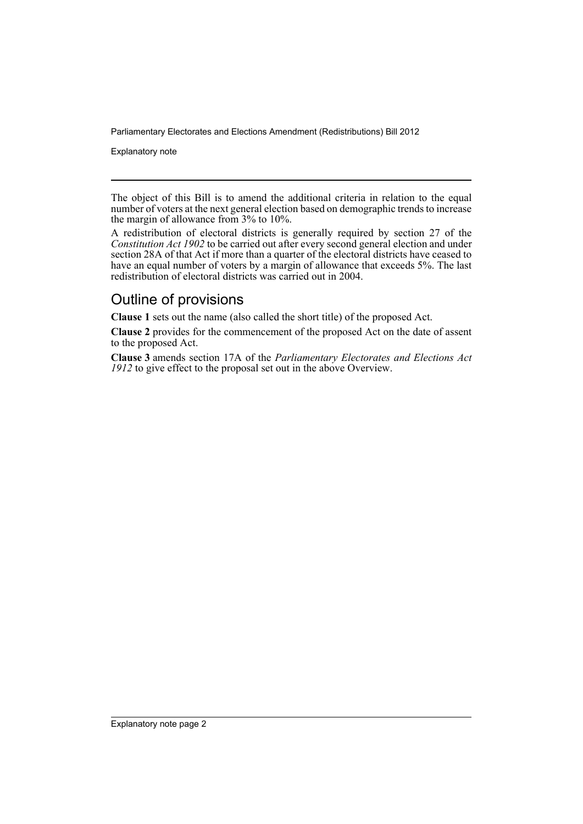Parliamentary Electorates and Elections Amendment (Redistributions) Bill 2012

Explanatory note

The object of this Bill is to amend the additional criteria in relation to the equal number of voters at the next general election based on demographic trends to increase the margin of allowance from 3% to 10%.

A redistribution of electoral districts is generally required by section 27 of the *Constitution Act 1902* to be carried out after every second general election and under section 28A of that Act if more than a quarter of the electoral districts have ceased to have an equal number of voters by a margin of allowance that exceeds 5%. The last redistribution of electoral districts was carried out in 2004.

#### Outline of provisions

**Clause 1** sets out the name (also called the short title) of the proposed Act.

**Clause 2** provides for the commencement of the proposed Act on the date of assent to the proposed Act.

**Clause 3** amends section 17A of the *Parliamentary Electorates and Elections Act 1912* to give effect to the proposal set out in the above Overview.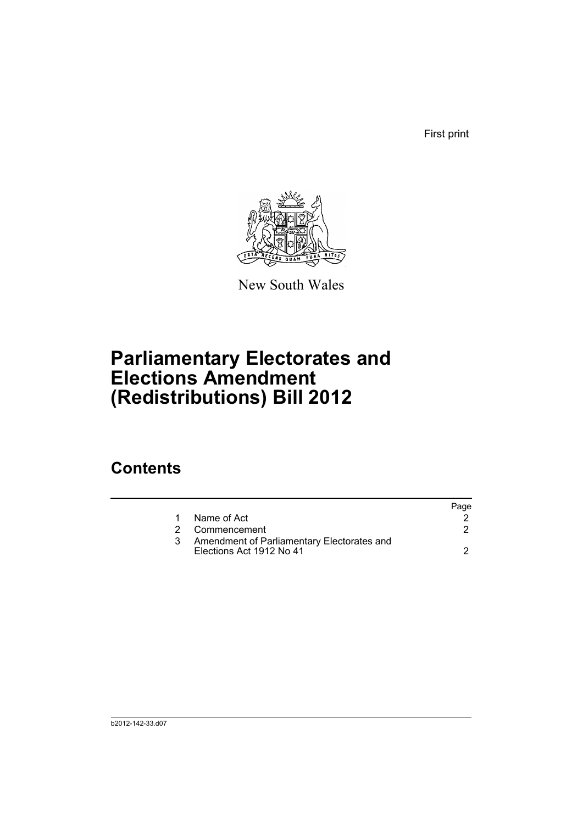First print



New South Wales

# **Parliamentary Electorates and Elections Amendment (Redistributions) Bill 2012**

### **Contents**

|   |                                                                        | Page |
|---|------------------------------------------------------------------------|------|
|   | Name of Act                                                            |      |
| 2 | Commencement                                                           |      |
|   | Amendment of Parliamentary Electorates and<br>Elections Act 1912 No 41 |      |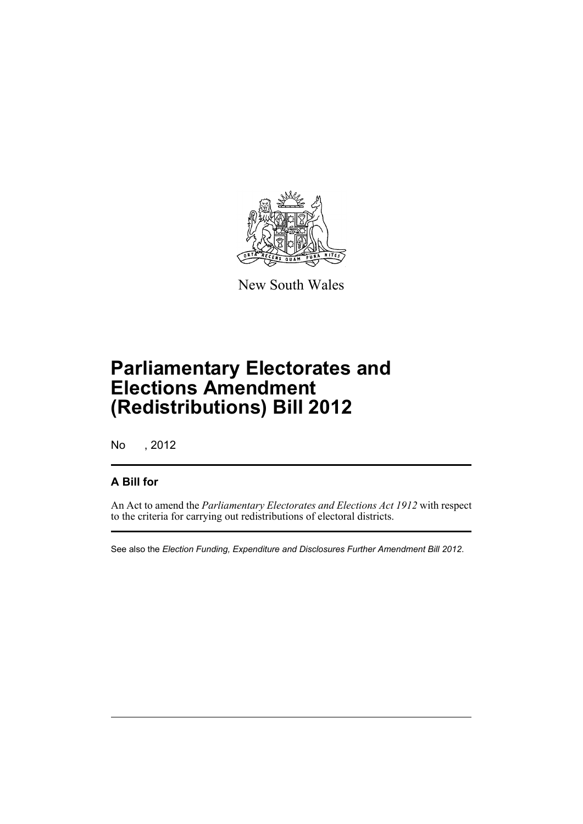

New South Wales

## **Parliamentary Electorates and Elections Amendment (Redistributions) Bill 2012**

No , 2012

#### **A Bill for**

An Act to amend the *Parliamentary Electorates and Elections Act 1912* with respect to the criteria for carrying out redistributions of electoral districts.

See also the *Election Funding, Expenditure and Disclosures Further Amendment Bill 2012*.